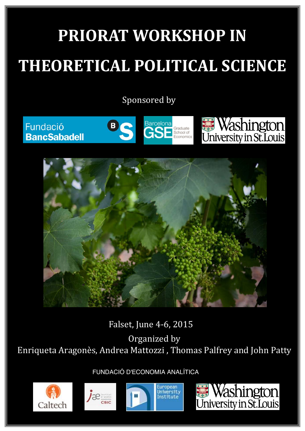# **PRIORAT WORKSHOP IN THEORETICAL POLITICAL SCIENCE**

Sponsored by

Fundació **BancSabadell** 









Falset, June 4-6, 2015

Organized by

Enriqueta Aragonès, Andrea Mattozzi, Thomas Palfrey and John Patty

FUNDACIÓ D'ECONOMIA ANALÍTICA







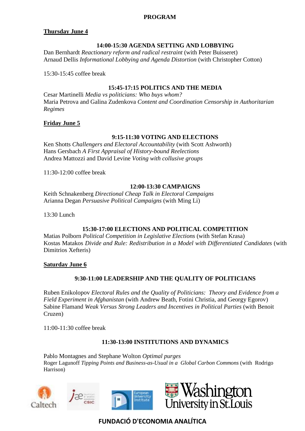#### **PROGRAM**

## **Thursday June 4**

## **14:00-15:30 AGENDA SETTING AND LOBBYING**

Dan Bernhardt *Reactionary reform and radical restraint* (with Peter Buisseret) Arnaud Dellis *Informational Lobbying and Agenda Distortion* (with Christopher Cotton)

15:30-15:45 coffee break

## **15:45-17:15 POLITICS AND THE MEDIA**

Cesar Martinelli *Media vs politicians: Who buys whom?* Maria Petrova and Galina Zudenkova *Content and Coordination Censorship in Authoritarian Regimes*

## **Friday June 5**

## **9:15-11:30 VOTING AND ELECTIONS**

Ken Shotts *Challengers and Electoral Accountability* (with Scott Ashworth) Hans Gersbach *A First Appraisal of History-bound Reelections* Andrea Mattozzi and David Levine *Voting with collusive groups*

11:30-12:00 coffee break

#### **12:00-13:30 CAMPAIGNS**

Keith Schnakenberg *Directional Cheap Talk in Electoral Campaigns* Arianna Degan *Persuasive Political Campaigns* (with Ming Li)

13:30 Lunch

# **15:30-17:00 ELECTIONS AND POLITICAL COMPETITION**

Matias Polborn *Political Competition in Legislative Elections* (with Stefan Krasa) Kostas Matakos *Divide and Rule: Redistribution in a Model with Differentiated Candidates* (with Dimitrios Xefteris)

## **Saturday June 6**

# **9:30-11:00 LEADERSHIP AND THE QUALITY OF POLITICIANS**

Ruben Enikolopov *Electoral Rules and the Quality of Politicians: Theory and Evidence from a Field Experiment in Afghanistan* (with Andrew Beath, Fotini Christia, and Georgy Egorov) Sabine Flamand *Weak Versus Strong Leaders and Incentives in Political Parties* (with Benoit Cruzen)

11:00-11:30 coffee break

## **11:30-13:00 INSTITUTIONS AND DYNAMICS**

Pablo Montagnes and Stephane Wolton *Optimal purges* Roger Lagunoff *Tipping Points and Business-as-Usual in a Global Carbon Commons* (with Rodrigo Harrison)









**FUNDACIÓ D'ECONOMIA ANALÍTICA**